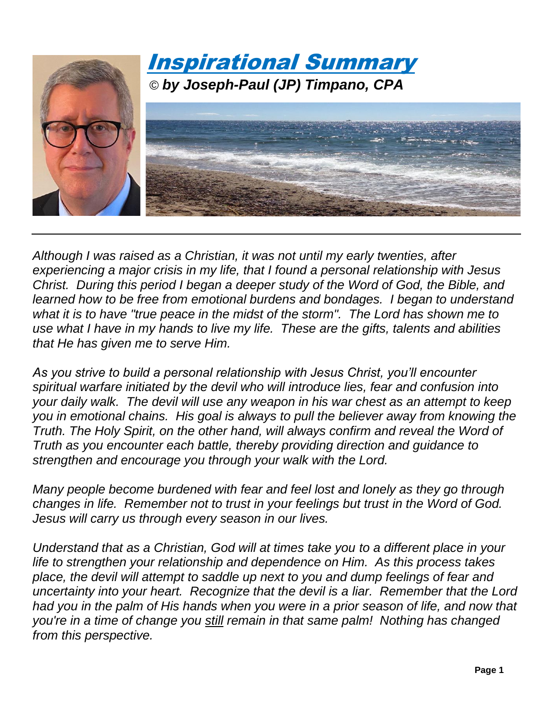

*Although I was raised as a Christian, it was not until my early twenties, after experiencing a major crisis in my life, that I found a personal relationship with Jesus Christ. During this period I began a deeper study of the Word of God, the Bible, and learned how to be free from emotional burdens and bondages. I began to understand what it is to have "true peace in the midst of the storm". The Lord has shown me to use what I have in my hands to live my life. These are the gifts, talents and abilities that He has given me to serve Him.*

*As you strive to build a personal relationship with Jesus Christ, you'll encounter spiritual warfare initiated by the devil who will introduce lies, fear and confusion into your daily walk. The devil will use any weapon in his war chest as an attempt to keep you in emotional chains. His goal is always to pull the believer away from knowing the Truth. The Holy Spirit, on the other hand, will always confirm and reveal the Word of Truth as you encounter each battle, thereby providing direction and guidance to strengthen and encourage you through your walk with the Lord.*

*Many people become burdened with fear and feel lost and lonely as they go through changes in life. Remember not to trust in your feelings but trust in the Word of God. Jesus will carry us through every season in our lives.* 

*Understand that as a Christian, God will at times take you to a different place in your life to strengthen your relationship and dependence on Him. As this process takes place, the devil will attempt to saddle up next to you and dump feelings of fear and uncertainty into your heart. Recognize that the devil is a liar. Remember that the Lord had you in the palm of His hands when you were in a prior season of life, and now that you're in a time of change you still remain in that same palm! Nothing has changed from this perspective.*